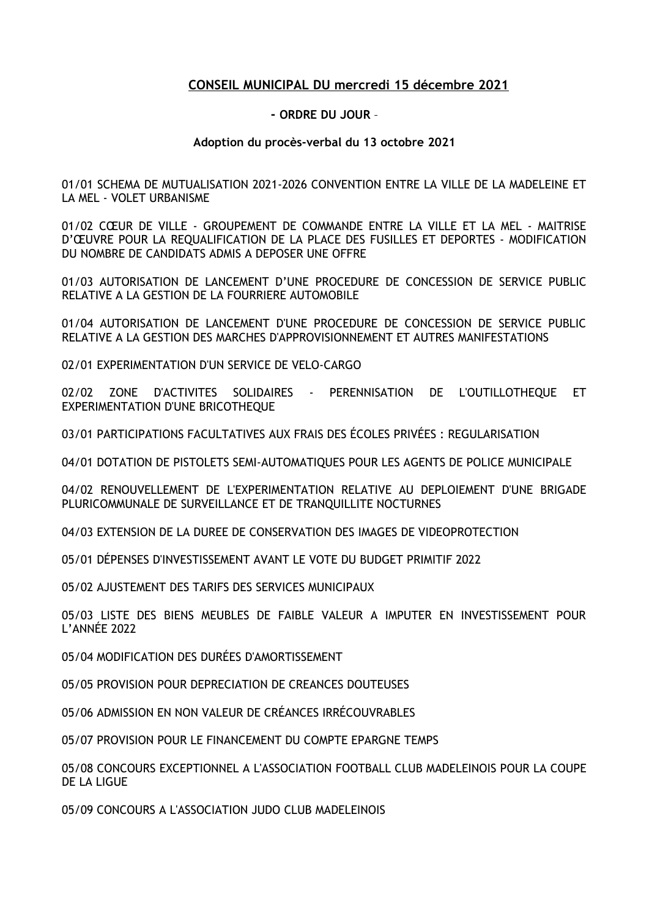## **CONSEIL MUNICIPAL DU mercredi 15 décembre 2021**

## **- ORDRE DU JOUR** –

## **Adoption du procès-verbal du 13 octobre 2021**

01/01 SCHEMA DE MUTUALISATION 2021-2026 CONVENTION ENTRE LA VILLE DE LA MADELEINE ET LA MEL - VOLET URBANISME

01/02 CŒUR DE VILLE - GROUPEMENT DE COMMANDE ENTRE LA VILLE ET LA MEL - MAITRISE D'ŒUVRE POUR LA REQUALIFICATION DE LA PLACE DES FUSILLES ET DEPORTES - MODIFICATION DU NOMBRE DE CANDIDATS ADMIS A DEPOSER UNE OFFRE

01/03 AUTORISATION DE LANCEMENT D'UNE PROCEDURE DE CONCESSION DE SERVICE PUBLIC RELATIVE A LA GESTION DE LA FOURRIERE AUTOMOBILE

01/04 AUTORISATION DE LANCEMENT D'UNE PROCEDURE DE CONCESSION DE SERVICE PUBLIC RELATIVE A LA GESTION DES MARCHES D'APPROVISIONNEMENT ET AUTRES MANIFESTATIONS

02/01 EXPERIMENTATION D'UN SERVICE DE VELO-CARGO

02/02 ZONE D'ACTIVITES SOLIDAIRES - PERENNISATION DE L'OUTILLOTHEQUE ET EXPERIMENTATION D'UNE BRICOTHEQUE

03/01 PARTICIPATIONS FACULTATIVES AUX FRAIS DES ÉCOLES PRIVÉES : REGULARISATION

04/01 DOTATION DE PISTOLETS SEMI-AUTOMATIQUES POUR LES AGENTS DE POLICE MUNICIPALE

04/02 RENOUVELLEMENT DE L'EXPERIMENTATION RELATIVE AU DEPLOIEMENT D'UNE BRIGADE PLURICOMMUNALE DE SURVEILLANCE ET DE TRANQUILLITE NOCTURNES

04/03 EXTENSION DE LA DUREE DE CONSERVATION DES IMAGES DE VIDEOPROTECTION

05/01 DÉPENSES D'INVESTISSEMENT AVANT LE VOTE DU BUDGET PRIMITIF 2022

05/02 AJUSTEMENT DES TARIFS DES SERVICES MUNICIPAUX

05/03 LISTE DES BIENS MEUBLES DE FAIBLE VALEUR A IMPUTER EN INVESTISSEMENT POUR L'ANNÉE 2022

05/04 MODIFICATION DES DURÉES D'AMORTISSEMENT

05/05 PROVISION POUR DEPRECIATION DE CREANCES DOUTEUSES

05/06 ADMISSION EN NON VALEUR DE CRÉANCES IRRÉCOUVRABLES

05/07 PROVISION POUR LE FINANCEMENT DU COMPTE EPARGNE TEMPS

05/08 CONCOURS EXCEPTIONNEL A L'ASSOCIATION FOOTBALL CLUB MADELEINOIS POUR LA COUPE DE LA LIGUE

05/09 CONCOURS A L'ASSOCIATION JUDO CLUB MADELEINOIS